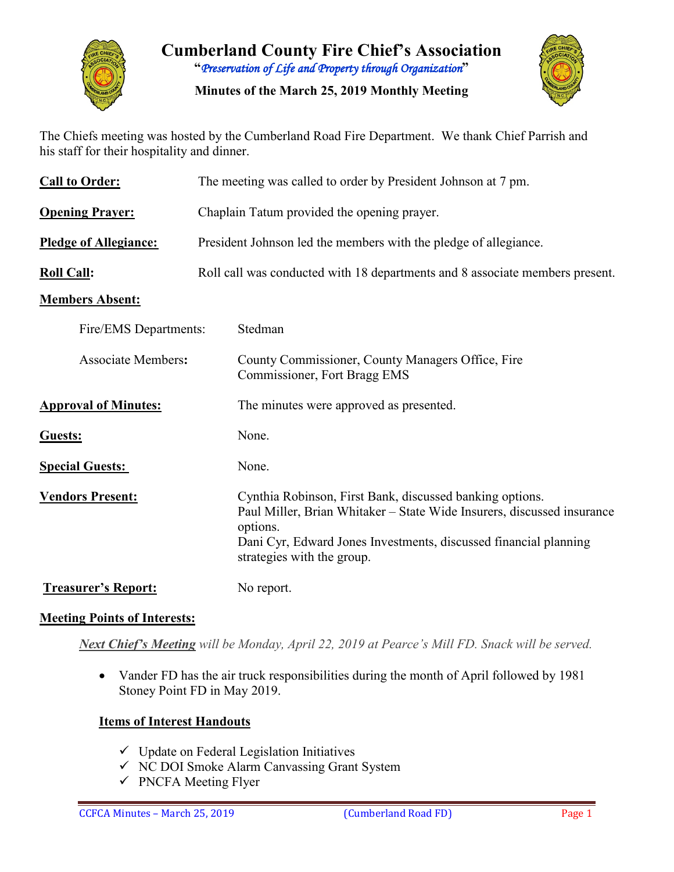

**Cumberland County Fire Chief's Association "***Preservation of Life and Property through Organization***"**

**Minutes of the March 25, 2019 Monthly Meeting**



The Chiefs meeting was hosted by the Cumberland Road Fire Department. We thank Chief Parrish and his staff for their hospitality and dinner.

| <b>Call to Order:</b>        | The meeting was called to order by President Johnson at 7 pm.                                                                                                                                                                                    |  |  |  |  |  |  |  |  |
|------------------------------|--------------------------------------------------------------------------------------------------------------------------------------------------------------------------------------------------------------------------------------------------|--|--|--|--|--|--|--|--|
| <b>Opening Prayer:</b>       | Chaplain Tatum provided the opening prayer.                                                                                                                                                                                                      |  |  |  |  |  |  |  |  |
| <b>Pledge of Allegiance:</b> | President Johnson led the members with the pledge of allegiance.                                                                                                                                                                                 |  |  |  |  |  |  |  |  |
| <b>Roll Call:</b>            | Roll call was conducted with 18 departments and 8 associate members present.                                                                                                                                                                     |  |  |  |  |  |  |  |  |
| <b>Members Absent:</b>       |                                                                                                                                                                                                                                                  |  |  |  |  |  |  |  |  |
| Fire/EMS Departments:        | Stedman                                                                                                                                                                                                                                          |  |  |  |  |  |  |  |  |
| <b>Associate Members:</b>    | County Commissioner, County Managers Office, Fire<br>Commissioner, Fort Bragg EMS                                                                                                                                                                |  |  |  |  |  |  |  |  |
| <b>Approval of Minutes:</b>  | The minutes were approved as presented.                                                                                                                                                                                                          |  |  |  |  |  |  |  |  |
| Guests:                      | None.                                                                                                                                                                                                                                            |  |  |  |  |  |  |  |  |
| <b>Special Guests:</b>       | None.                                                                                                                                                                                                                                            |  |  |  |  |  |  |  |  |
| <b>Vendors Present:</b>      | Cynthia Robinson, First Bank, discussed banking options.<br>Paul Miller, Brian Whitaker – State Wide Insurers, discussed insurance<br>options.<br>Dani Cyr, Edward Jones Investments, discussed financial planning<br>strategies with the group. |  |  |  |  |  |  |  |  |
| <b>Treasurer's Report:</b>   | No report.                                                                                                                                                                                                                                       |  |  |  |  |  |  |  |  |

#### **Meeting Points of Interests:**

*Next Chief's Meeting will be Monday, April 22, 2019 at Pearce's Mill FD. Snack will be served.*

• Vander FD has the air truck responsibilities during the month of April followed by 1981 Stoney Point FD in May 2019.

#### **Items of Interest Handouts**

- $\checkmark$  Update on Federal Legislation Initiatives
- $\checkmark$  NC DOI Smoke Alarm Canvassing Grant System
- $\checkmark$  PNCFA Meeting Flyer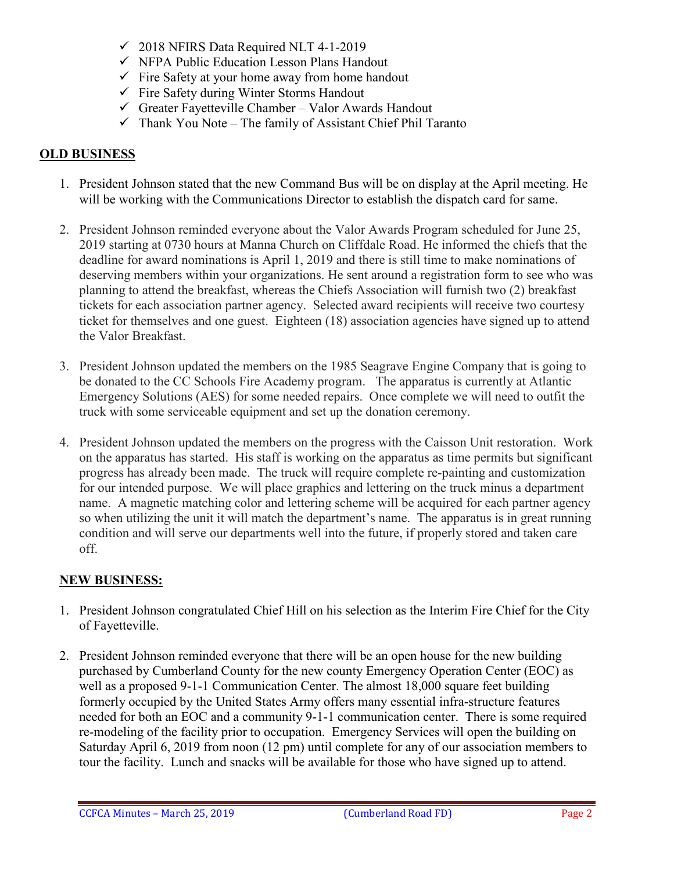- $\checkmark$  2018 NFIRS Data Required NLT 4-1-2019
- $\checkmark$  NFPA Public Education Lesson Plans Handout
- $\checkmark$  Fire Safety at your home away from home handout
- $\checkmark$  Fire Safety during Winter Storms Handout
- $\checkmark$  Greater Fayetteville Chamber Valor Awards Handout
- $\checkmark$  Thank You Note The family of Assistant Chief Phil Taranto

#### **OLD BUSINESS**

- 1. President Johnson stated that the new Command Bus will be on display at the April meeting. He will be working with the Communications Director to establish the dispatch card for same.
- 2. President Johnson reminded everyone about the Valor Awards Program scheduled for June 25, 2019 starting at 0730 hours at Manna Church on Cliffdale Road. He informed the chiefs that the deadline for award nominations is April 1, 2019 and there is still time to make nominations of deserving members within your organizations. He sent around a registration form to see who was planning to attend the breakfast, whereas the Chiefs Association will furnish two (2) breakfast tickets for each association partner agency. Selected award recipients will receive two courtesy ticket for themselves and one guest. Eighteen (18) association agencies have signed up to attend the Valor Breakfast.
- 3. President Johnson updated the members on the 1985 Seagrave Engine Company that is going to be donated to the CC Schools Fire Academy program. The apparatus is currently at Atlantic Emergency Solutions (AES) for some needed repairs. Once complete we will need to outfit the truck with some serviceable equipment and set up the donation ceremony.
- 4. President Johnson updated the members on the progress with the Caisson Unit restoration. Work on the apparatus has started. His staff is working on the apparatus as time permits but significant progress has already been made. The truck will require complete re-painting and customization for our intended purpose. We will place graphics and lettering on the truck minus a department name. A magnetic matching color and lettering scheme will be acquired for each partner agency so when utilizing the unit it will match the department's name. The apparatus is in great running condition and will serve our departments well into the future, if properly stored and taken care off.

#### **NEW BUSINESS:**

- 1. President Johnson congratulated Chief Hill on his selection as the Interim Fire Chief for the City of Fayetteville.
- 2. President Johnson reminded everyone that there will be an open house for the new building purchased by Cumberland County for the new county Emergency Operation Center (EOC) as well as a proposed 9-1-1 Communication Center. The almost 18,000 square feet building formerly occupied by the United States Army offers many essential infra-structure features needed for both an EOC and a community 9-1-1 communication center. There is some required re-modeling of the facility prior to occupation. Emergency Services will open the building on Saturday April 6, 2019 from noon (12 pm) until complete for any of our association members to tour the facility. Lunch and snacks will be available for those who have signed up to attend.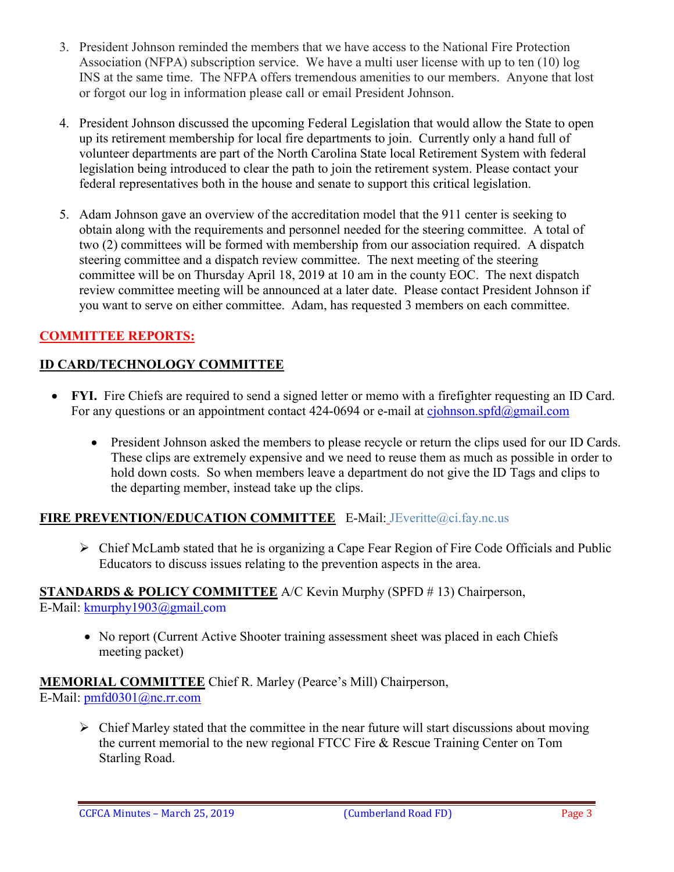- 3. President Johnson reminded the members that we have access to the National Fire Protection Association (NFPA) subscription service. We have a multi user license with up to ten (10) log INS at the same time. The NFPA offers tremendous amenities to our members. Anyone that lost or forgot our log in information please call or email President Johnson.
- 4. President Johnson discussed the upcoming Federal Legislation that would allow the State to open up its retirement membership for local fire departments to join. Currently only a hand full of volunteer departments are part of the North Carolina State local Retirement System with federal legislation being introduced to clear the path to join the retirement system. Please contact your federal representatives both in the house and senate to support this critical legislation.
- 5. Adam Johnson gave an overview of the accreditation model that the 911 center is seeking to obtain along with the requirements and personnel needed for the steering committee. A total of two (2) committees will be formed with membership from our association required. A dispatch steering committee and a dispatch review committee. The next meeting of the steering committee will be on Thursday April 18, 2019 at 10 am in the county EOC. The next dispatch review committee meeting will be announced at a later date. Please contact President Johnson if you want to serve on either committee. Adam, has requested 3 members on each committee.

# **COMMITTEE REPORTS:**

## **ID CARD/TECHNOLOGY COMMITTEE**

- **FYI.** Fire Chiefs are required to send a signed letter or memo with a firefighter requesting an ID Card. For any questions or an appointment contact 424-0694 or e-mail at [cjohnson.spfd@gmail.com](mailto:cjohnson.spfd@gmail.com)
	- President Johnson asked the members to please recycle or return the clips used for our ID Cards. These clips are extremely expensive and we need to reuse them as much as possible in order to hold down costs. So when members leave a department do not give the ID Tags and clips to the departing member, instead take up the clips.

#### **FIRE PREVENTION/EDUCATION COMMITTEE** E-Mail: JEveritte@ci.fay.nc.us

 Chief McLamb stated that he is organizing a Cape Fear Region of Fire Code Officials and Public Educators to discuss issues relating to the prevention aspects in the area.

# **STANDARDS & POLICY COMMITTEE** A/C Kevin Murphy (SPFD # 13) Chairperson,

E-Mail: [kmurphy1903@gmail.com](mailto:kmurphy1903@gmail.com)

• No report (Current Active Shooter training assessment sheet was placed in each Chiefs meeting packet)

**MEMORIAL COMMITTEE** Chief R. Marley (Pearce's Mill) Chairperson, E-Mail: [pmfd0301@nc.rr.com](mailto:pmfd0301@nc.rr.com)

 $\triangleright$  Chief Marley stated that the committee in the near future will start discussions about moving the current memorial to the new regional FTCC Fire & Rescue Training Center on Tom Starling Road.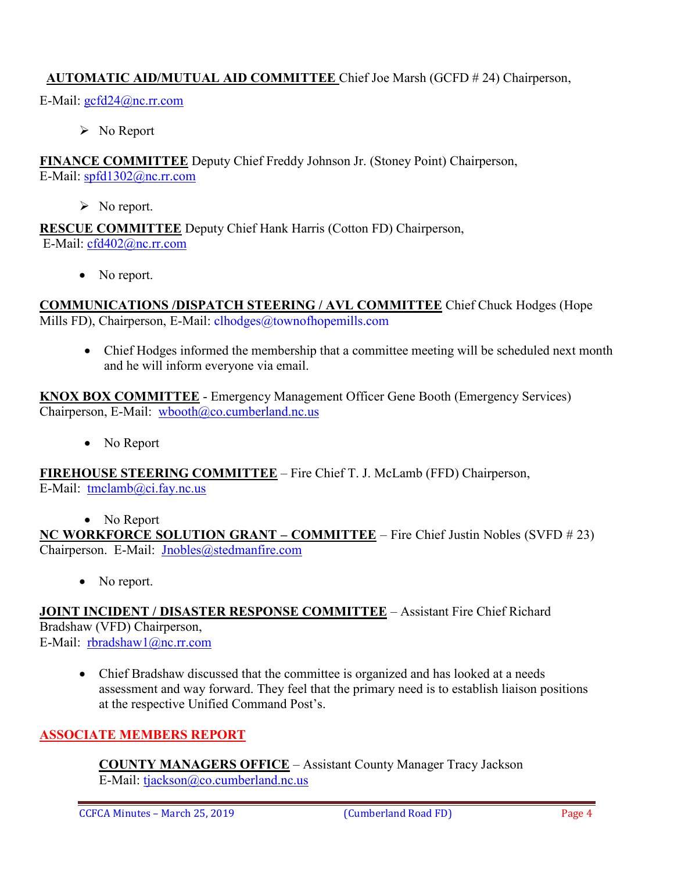## **AUTOMATIC AID/MUTUAL AID COMMITTEE** Chief Joe Marsh (GCFD # 24) Chairperson,

E-Mail: [gcfd24@nc.rr.com](mailto:gcfd24@nc.rr.com)

 $\triangleright$  No Report

**FINANCE COMMITTEE** Deputy Chief Freddy Johnson Jr. (Stoney Point) Chairperson, E-Mail: [spfd1302@nc.rr.com](mailto:spfd1302@nc.rr.com)

 $\triangleright$  No report.

**RESCUE COMMITTEE** Deputy Chief Hank Harris (Cotton FD) Chairperson, E-Mail: [cfd402@nc.rr.com](mailto:cfd402@nc.rr.com)

• No report.

**COMMUNICATIONS /DISPATCH STEERING / AVL COMMITTEE** Chief Chuck Hodges (Hope Mills FD), Chairperson, E-Mail: clhodges@townofhopemills.com

• Chief Hodges informed the membership that a committee meeting will be scheduled next month and he will inform everyone via email.

**KNOX BOX COMMITTEE** - Emergency Management Officer Gene Booth (Emergency Services) Chairperson, E-Mail: [wbooth@co.cumberland.nc.us](mailto:wbooth@co.cumberland.nc.us)

• No Report

**FIREHOUSE STEERING COMMITTEE** – Fire Chief T. J. McLamb (FFD) Chairperson, E-Mail: [tmclamb@ci.fay.nc.us](mailto:tmclamb@ci.fay.nc.us)

• No Report

**NC WORKFORCE SOLUTION GRANT – COMMITTEE** – Fire Chief Justin Nobles (SVFD # 23) Chairperson. E-Mail: [Jnobles@stedmanfire.com](mailto:Jnobles@stedmanfire.com)

• No report.

**JOINT INCIDENT / DISASTER RESPONSE COMMITTEE** – Assistant Fire Chief Richard Bradshaw (VFD) Chairperson, E-Mail: [rbradshaw1@nc.rr.com](mailto:rbradshaw1@nc.rr.com)

• Chief Bradshaw discussed that the committee is organized and has looked at a needs assessment and way forward. They feel that the primary need is to establish liaison positions at the respective Unified Command Post's.

#### **ASSOCIATE MEMBERS REPORT**

**COUNTY MANAGERS OFFICE** – Assistant County Manager Tracy Jackson E-Mail: [tjackson@co.cumberland.nc.us](mailto:tjackson@co.cumberland.nc.us)

CCFCA Minutes – March 25, 2019 (Cumberland Road FD) Page 4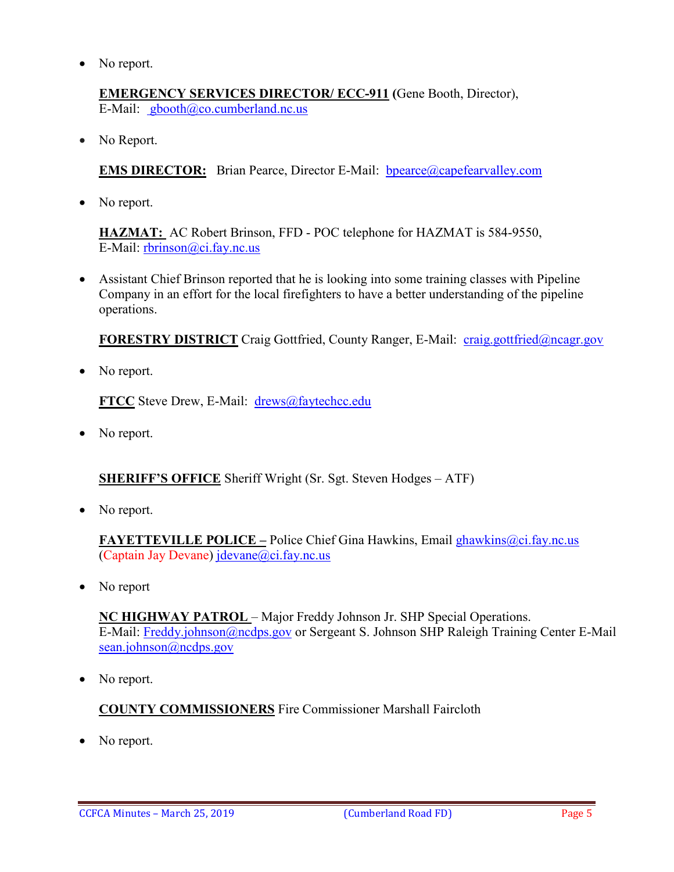• No report.

**EMERGENCY SERVICES DIRECTOR/ ECC-911 (**Gene Booth, Director), E-Mail: [gbooth@co.cumberland.nc.us](mailto:gbooth@co.cumberland.nc.us)

• No Report.

**EMS DIRECTOR:** Brian Pearce, Director E-Mail: bpearce@capefearvalley.com

• No report.

**HAZMAT:** AC Robert Brinson, FFD - POC telephone for HAZMAT is 584-9550, E-Mail: [rbrinson@ci.fay.nc.us](mailto:rbrinson@ci.fay.nc.us)

• Assistant Chief Brinson reported that he is looking into some training classes with Pipeline Company in an effort for the local firefighters to have a better understanding of the pipeline operations.

**FORESTRY DISTRICT** Craig Gottfried, County Ranger, E-Mail: [craig.gottfried@ncagr.gov](mailto:craig.gottfried@ncagr.gov)

• No report.

**FTCC** Steve Drew, E-Mail: [drews@faytechcc.edu](mailto:drews@faytechcc.edu)

• No report.

**SHERIFF'S OFFICE** Sheriff Wright (Sr. Sgt. Steven Hodges – ATF)

• No report.

**FAYETTEVILLE POLICE –** Police Chief Gina Hawkins, Email ghawkins@ci.fay.nc.us (Captain Jay Devane) [jdevane@ci.fay.nc.us](mailto:jdevane@ci.fay.nc.us)

• No report

**NC HIGHWAY PATROL** – Major Freddy Johnson Jr. SHP Special Operations. E-Mail: [Freddy.johnson@ncdps.gov](mailto:Freddy.johnson@ncdps.gov) or Sergeant S. Johnson SHP Raleigh Training Center E-Mail [sean.johnson@ncdps.gov](mailto:sean.johnson@ncdps.gov)

No report.

#### **COUNTY COMMISSIONERS** Fire Commissioner Marshall Faircloth

No report.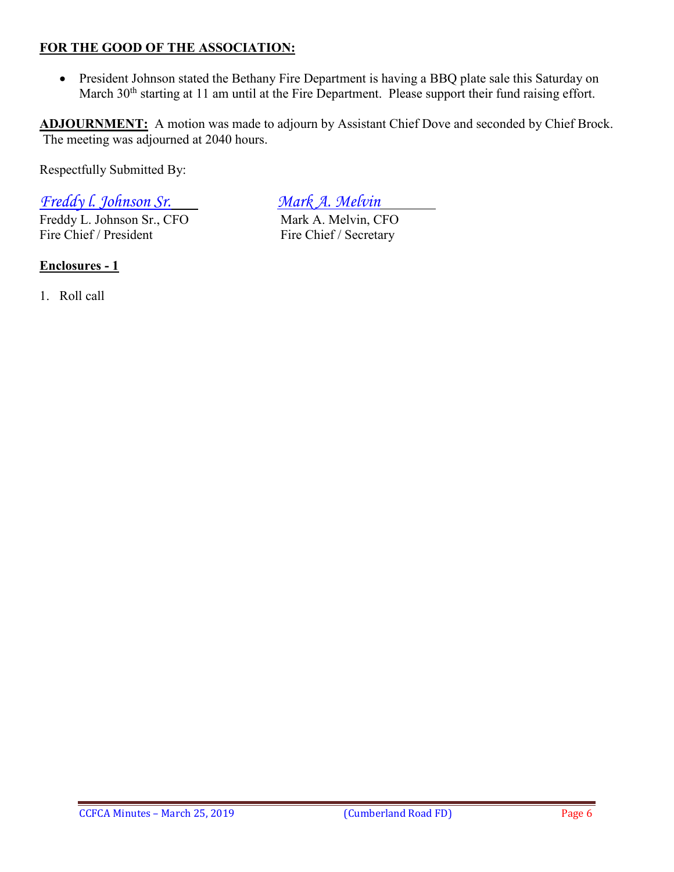#### **FOR THE GOOD OF THE ASSOCIATION:**

• President Johnson stated the Bethany Fire Department is having a BBQ plate sale this Saturday on March 30<sup>th</sup> starting at 11 am until at the Fire Department. Please support their fund raising effort.

**ADJOURNMENT:** A motion was made to adjourn by Assistant Chief Dove and seconded by Chief Brock. The meeting was adjourned at 2040 hours.

Respectfully Submitted By:

*Freddy l. Johnson Sr. Mark A. Melvin*

Freddy L. Johnson Sr., CFO Mark A. Melvin, CFO Fire Chief / President Fire Chief / Secretary

**Enclosures - 1**

1. Roll call